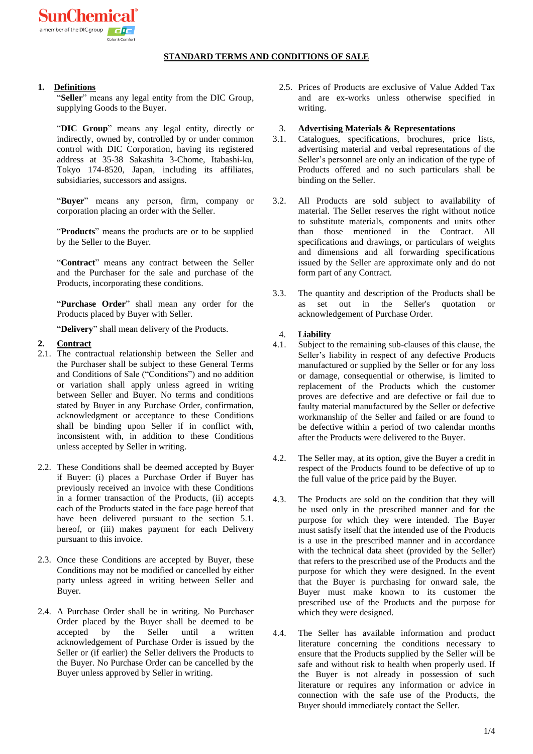## **STANDARD TERMS AND CONDITIONS OF SALE**

## **1. Definitions**

"**Seller**" means any legal entity from the DIC Group, supplying Goods to the Buyer.

"**DIC Group**" means any legal entity, directly or indirectly, owned by, controlled by or under common control with DIC Corporation, having its registered address at 35-38 Sakashita 3-Chome, Itabashi-ku, Tokyo 174-8520, Japan, including its affiliates, subsidiaries, successors and assigns.

"**Buyer**" means any person, firm, company or corporation placing an order with the Seller.

"**Products**" means the products are or to be supplied by the Seller to the Buyer.

"**Contract**" means any contract between the Seller and the Purchaser for the sale and purchase of the Products, incorporating these conditions.

"**Purchase Order**" shall mean any order for the Products placed by Buyer with Seller.

"**Delivery**" shall mean delivery of the Products.

### **2. Contract**

- 2.1. The contractual relationship between the Seller and the Purchaser shall be subject to these General Terms and Conditions of Sale ("Conditions") and no addition or variation shall apply unless agreed in writing between Seller and Buyer. No terms and conditions stated by Buyer in any Purchase Order, confirmation, acknowledgment or acceptance to these Conditions shall be binding upon Seller if in conflict with, inconsistent with, in addition to these Conditions unless accepted by Seller in writing.
- 2.2. These Conditions shall be deemed accepted by Buyer if Buyer: (i) places a Purchase Order if Buyer has previously received an invoice with these Conditions in a former transaction of the Products, (ii) accepts each of the Products stated in the face page hereof that have been delivered pursuant to the section 5.1. hereof, or (iii) makes payment for each Delivery pursuant to this invoice.
- 2.3. Once these Conditions are accepted by Buyer, these Conditions may not be modified or cancelled by either party unless agreed in writing between Seller and Buyer.
- 2.4. A Purchase Order shall be in writing. No Purchaser Order placed by the Buyer shall be deemed to be accepted by the Seller until a written acknowledgement of Purchase Order is issued by the Seller or (if earlier) the Seller delivers the Products to the Buyer. No Purchase Order can be cancelled by the Buyer unless approved by Seller in writing.
- 2.5. Prices of Products are exclusive of Value Added Tax and are ex-works unless otherwise specified in writing.
- 3. **Advertising Materials & Representations**
- 3.1. Catalogues, specifications, brochures, price lists, advertising material and verbal representations of the Seller's personnel are only an indication of the type of Products offered and no such particulars shall be binding on the Seller.
- 3.2. All Products are sold subject to availability of material. The Seller reserves the right without notice to substitute materials, components and units other than those mentioned in the Contract. All specifications and drawings, or particulars of weights and dimensions and all forwarding specifications issued by the Seller are approximate only and do not form part of any Contract.
- 3.3. The quantity and description of the Products shall be as set out in the Seller's quotation or acknowledgement of Purchase Order.

### 4. **Liability**

- 4.1. Subject to the remaining sub-clauses of this clause, the Seller's liability in respect of any defective Products manufactured or supplied by the Seller or for any loss or damage, consequential or otherwise, is limited to replacement of the Products which the customer proves are defective and are defective or fail due to faulty material manufactured by the Seller or defective workmanship of the Seller and failed or are found to be defective within a period of two calendar months after the Products were delivered to the Buyer.
- 4.2. The Seller may, at its option, give the Buyer a credit in respect of the Products found to be defective of up to the full value of the price paid by the Buyer.
- 4.3. The Products are sold on the condition that they will be used only in the prescribed manner and for the purpose for which they were intended. The Buyer must satisfy itself that the intended use of the Products is a use in the prescribed manner and in accordance with the technical data sheet (provided by the Seller) that refers to the prescribed use of the Products and the purpose for which they were designed. In the event that the Buyer is purchasing for onward sale, the Buyer must make known to its customer the prescribed use of the Products and the purpose for which they were designed.
- 4.4. The Seller has available information and product literature concerning the conditions necessary to ensure that the Products supplied by the Seller will be safe and without risk to health when properly used. If the Buyer is not already in possession of such literature or requires any information or advice in connection with the safe use of the Products, the Buyer should immediately contact the Seller.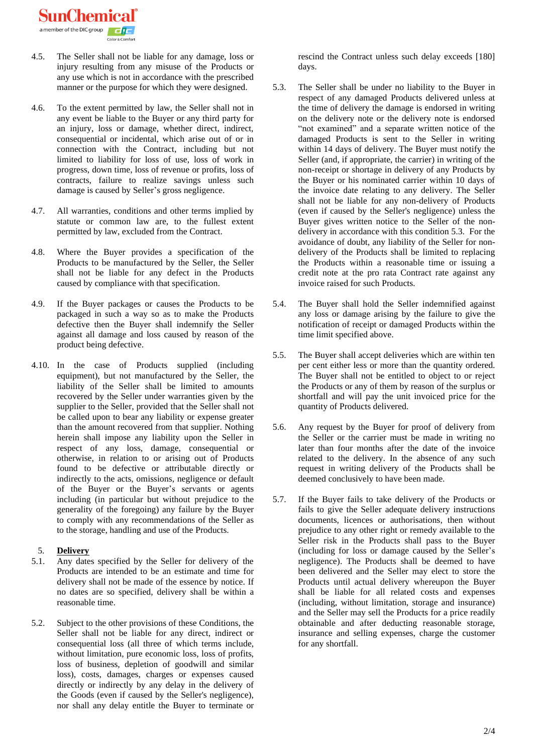SunChem

- 4.5. The Seller shall not be liable for any damage, loss or injury resulting from any misuse of the Products or any use which is not in accordance with the prescribed manner or the purpose for which they were designed.
- 4.6. To the extent permitted by law, the Seller shall not in any event be liable to the Buyer or any third party for an injury, loss or damage, whether direct, indirect, consequential or incidental, which arise out of or in connection with the Contract, including but not limited to liability for loss of use, loss of work in progress, down time, loss of revenue or profits, loss of contracts, failure to realize savings unless such damage is caused by Seller's gross negligence.
- 4.7. All warranties, conditions and other terms implied by statute or common law are, to the fullest extent permitted by law, excluded from the Contract.
- 4.8. Where the Buyer provides a specification of the Products to be manufactured by the Seller, the Seller shall not be liable for any defect in the Products caused by compliance with that specification.
- 4.9. If the Buyer packages or causes the Products to be packaged in such a way so as to make the Products defective then the Buyer shall indemnify the Seller against all damage and loss caused by reason of the product being defective.
- 4.10. In the case of Products supplied (including equipment), but not manufactured by the Seller, the liability of the Seller shall be limited to amounts recovered by the Seller under warranties given by the supplier to the Seller, provided that the Seller shall not be called upon to bear any liability or expense greater than the amount recovered from that supplier. Nothing herein shall impose any liability upon the Seller in respect of any loss, damage, consequential or otherwise, in relation to or arising out of Products found to be defective or attributable directly or indirectly to the acts, omissions, negligence or default of the Buyer or the Buyer's servants or agents including (in particular but without prejudice to the generality of the foregoing) any failure by the Buyer to comply with any recommendations of the Seller as to the storage, handling and use of the Products.

## 5. **Delivery**

- 5.1. Any dates specified by the Seller for delivery of the Products are intended to be an estimate and time for delivery shall not be made of the essence by notice. If no dates are so specified, delivery shall be within a reasonable time.
- 5.2. Subject to the other provisions of these Conditions, the Seller shall not be liable for any direct, indirect or consequential loss (all three of which terms include, without limitation, pure economic loss, loss of profits, loss of business, depletion of goodwill and similar loss), costs, damages, charges or expenses caused directly or indirectly by any delay in the delivery of the Goods (even if caused by the Seller's negligence), nor shall any delay entitle the Buyer to terminate or

rescind the Contract unless such delay exceeds [180] days.

- 5.3. The Seller shall be under no liability to the Buyer in respect of any damaged Products delivered unless at the time of delivery the damage is endorsed in writing on the delivery note or the delivery note is endorsed "not examined" and a separate written notice of the damaged Products is sent to the Seller in writing within 14 days of delivery. The Buyer must notify the Seller (and, if appropriate, the carrier) in writing of the non-receipt or shortage in delivery of any Products by the Buyer or his nominated carrier within 10 days of the invoice date relating to any delivery. The Seller shall not be liable for any non-delivery of Products (even if caused by the Seller's negligence) unless the Buyer gives written notice to the Seller of the nondelivery in accordance with this condition 5.3. For the avoidance of doubt, any liability of the Seller for nondelivery of the Products shall be limited to replacing the Products within a reasonable time or issuing a credit note at the pro rata Contract rate against any invoice raised for such Products.
- 5.4. The Buyer shall hold the Seller indemnified against any loss or damage arising by the failure to give the notification of receipt or damaged Products within the time limit specified above.
- 5.5. The Buyer shall accept deliveries which are within ten per cent either less or more than the quantity ordered. The Buyer shall not be entitled to object to or reject the Products or any of them by reason of the surplus or shortfall and will pay the unit invoiced price for the quantity of Products delivered.
- 5.6. Any request by the Buyer for proof of delivery from the Seller or the carrier must be made in writing no later than four months after the date of the invoice related to the delivery. In the absence of any such request in writing delivery of the Products shall be deemed conclusively to have been made.
- 5.7. If the Buyer fails to take delivery of the Products or fails to give the Seller adequate delivery instructions documents, licences or authorisations, then without prejudice to any other right or remedy available to the Seller risk in the Products shall pass to the Buyer (including for loss or damage caused by the Seller's negligence). The Products shall be deemed to have been delivered and the Seller may elect to store the Products until actual delivery whereupon the Buyer shall be liable for all related costs and expenses (including, without limitation, storage and insurance) and the Seller may sell the Products for a price readily obtainable and after deducting reasonable storage, insurance and selling expenses, charge the customer for any shortfall.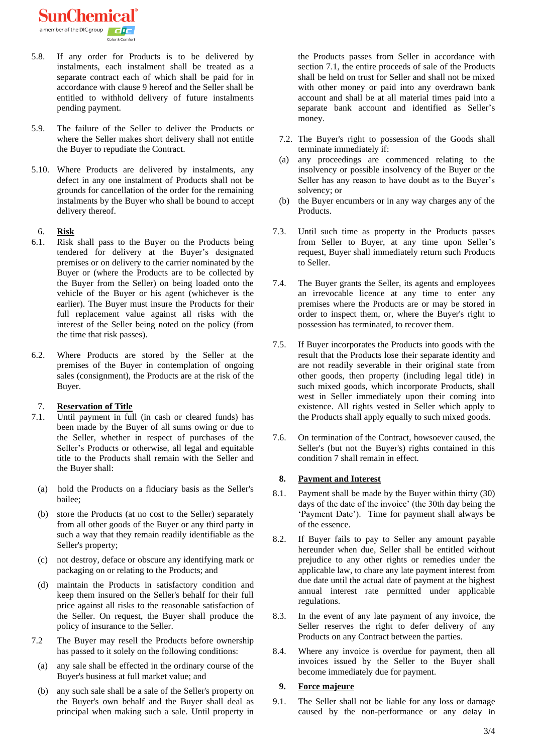SunChemical a member of the DIC

- 5.8. If any order for Products is to be delivered by instalments, each instalment shall be treated as a separate contract each of which shall be paid for in accordance with clause 9 hereof and the Seller shall be entitled to withhold delivery of future instalments pending payment.
- 5.9. The failure of the Seller to deliver the Products or where the Seller makes short delivery shall not entitle the Buyer to repudiate the Contract.
- 5.10. Where Products are delivered by instalments, any defect in any one instalment of Products shall not be grounds for cancellation of the order for the remaining instalments by the Buyer who shall be bound to accept delivery thereof.

### 6. **Risk**

- 6.1. Risk shall pass to the Buyer on the Products being tendered for delivery at the Buyer's designated premises or on delivery to the carrier nominated by the Buyer or (where the Products are to be collected by the Buyer from the Seller) on being loaded onto the vehicle of the Buyer or his agent (whichever is the earlier). The Buyer must insure the Products for their full replacement value against all risks with the interest of the Seller being noted on the policy (from the time that risk passes).
- 6.2. Where Products are stored by the Seller at the premises of the Buyer in contemplation of ongoing sales (consignment), the Products are at the risk of the Buyer.

### 7. **Reservation of Title**

- 7.1. Until payment in full (in cash or cleared funds) has been made by the Buyer of all sums owing or due to the Seller, whether in respect of purchases of the Seller's Products or otherwise, all legal and equitable title to the Products shall remain with the Seller and the Buyer shall:
	- (a) hold the Products on a fiduciary basis as the Seller's bailee;
	- (b) store the Products (at no cost to the Seller) separately from all other goods of the Buyer or any third party in such a way that they remain readily identifiable as the Seller's property;
	- (c) not destroy, deface or obscure any identifying mark or packaging on or relating to the Products; and
	- (d) maintain the Products in satisfactory condition and keep them insured on the Seller's behalf for their full price against all risks to the reasonable satisfaction of the Seller. On request, the Buyer shall produce the policy of insurance to the Seller.
- 7.2 The Buyer may resell the Products before ownership has passed to it solely on the following conditions:
	- (a) any sale shall be effected in the ordinary course of the Buyer's business at full market value; and
	- (b) any such sale shall be a sale of the Seller's property on the Buyer's own behalf and the Buyer shall deal as principal when making such a sale. Until property in

the Products passes from Seller in accordance with section 7.1, the entire proceeds of sale of the Products shall be held on trust for Seller and shall not be mixed with other money or paid into any overdrawn bank account and shall be at all material times paid into a separate bank account and identified as Seller's money.

- 7.2. The Buyer's right to possession of the Goods shall terminate immediately if:
- (a) any proceedings are commenced relating to the insolvency or possible insolvency of the Buyer or the Seller has any reason to have doubt as to the Buyer's solvency; or
- (b) the Buyer encumbers or in any way charges any of the Products.
- 7.3. Until such time as property in the Products passes from Seller to Buyer, at any time upon Seller's request, Buyer shall immediately return such Products to Seller.
- 7.4. The Buyer grants the Seller, its agents and employees an irrevocable licence at any time to enter any premises where the Products are or may be stored in order to inspect them, or, where the Buyer's right to possession has terminated, to recover them.
- 7.5. If Buyer incorporates the Products into goods with the result that the Products lose their separate identity and are not readily severable in their original state from other goods, then property (including legal title) in such mixed goods, which incorporate Products, shall west in Seller immediately upon their coming into existence. All rights vested in Seller which apply to the Products shall apply equally to such mixed goods.
- 7.6. On termination of the Contract, howsoever caused, the Seller's (but not the Buyer's) rights contained in this condition 7 shall remain in effect.

### **8. Payment and Interest**

- 8.1. Payment shall be made by the Buyer within thirty (30) days of the date of the invoice' (the 30th day being the 'Payment Date'). Time for payment shall always be of the essence.
- 8.2. If Buyer fails to pay to Seller any amount payable hereunder when due, Seller shall be entitled without prejudice to any other rights or remedies under the applicable law, to chare any late payment interest from due date until the actual date of payment at the highest annual interest rate permitted under applicable regulations.
- 8.3. In the event of any late payment of any invoice, the Seller reserves the right to defer delivery of any Products on any Contract between the parties.
- 8.4. Where any invoice is overdue for payment, then all invoices issued by the Seller to the Buyer shall become immediately due for payment.

### **9. Force majeure**

9.1. The Seller shall not be liable for any loss or damage caused by the non-performance or any delay in